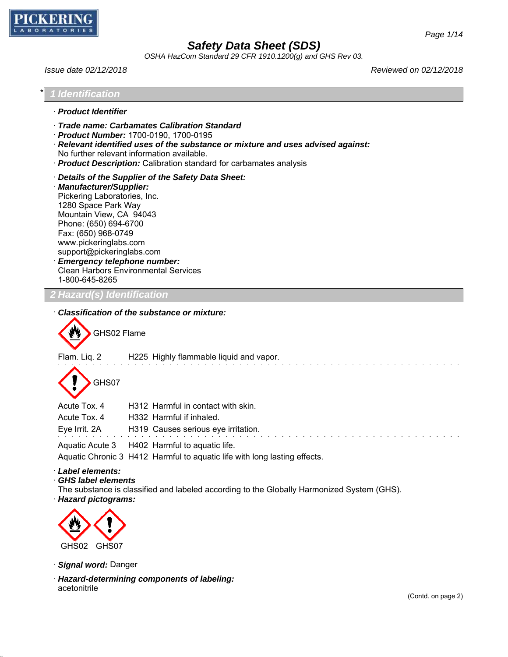

*OSHA HazCom Standard 29 CFR 1910.1200(g) and GHS Rev 03.*

acetonitrile

*Issue date 02/12/2018 Reviewed on 02/12/2018*

| ldentification                                                                                                                                                                                                                                                                                                                                                               |  |
|------------------------------------------------------------------------------------------------------------------------------------------------------------------------------------------------------------------------------------------------------------------------------------------------------------------------------------------------------------------------------|--|
| · Product Identifier                                                                                                                                                                                                                                                                                                                                                         |  |
| · Trade name: Carbamates Calibration Standard<br>Product Number: 1700-0190, 1700-0195<br>$\cdot$ Relevant identified uses of the substance or mixture and uses advised against:<br>No further relevant information available.<br>Product Description: Calibration standard for carbamates analysis                                                                           |  |
| Details of the Supplier of the Safety Data Sheet:<br>· Manufacturer/Supplier:<br>Pickering Laboratories, Inc.<br>1280 Space Park Way<br>Mountain View, CA 94043<br>Phone: (650) 694-6700<br>Fax: (650) 968-0749<br>www.pickeringlabs.com<br>support@pickeringlabs.com<br><b>Emergency telephone number:</b><br><b>Clean Harbors Environmental Services</b><br>1-800-645-8265 |  |
| <b>Hazard(s) Identification</b>                                                                                                                                                                                                                                                                                                                                              |  |
| GHS02 Flame<br>Flam. Liq. 2<br>H225 Highly flammable liquid and vapor.<br>GHS07<br>Acute Tox. 4<br>H312 Harmful in contact with skin.                                                                                                                                                                                                                                        |  |
| Acute Tox. 4<br>H332 Harmful if inhaled.                                                                                                                                                                                                                                                                                                                                     |  |
| Eye Irrit. 2A<br>H319 Causes serious eye irritation.<br>Aquatic Acute 3 H402 Harmful to aquatic life.<br>Aquatic Chronic 3 H412 Harmful to aquatic life with long lasting effects.                                                                                                                                                                                           |  |
| · Label elements:<br><b>GHS label elements</b><br>The substance is classified and labeled according to the Globally Harmonized System (GHS).<br>· Hazard pictograms:<br>GHS02<br>GHS07<br>Signal word: Danger                                                                                                                                                                |  |
| · Hazard-determining components of labeling:                                                                                                                                                                                                                                                                                                                                 |  |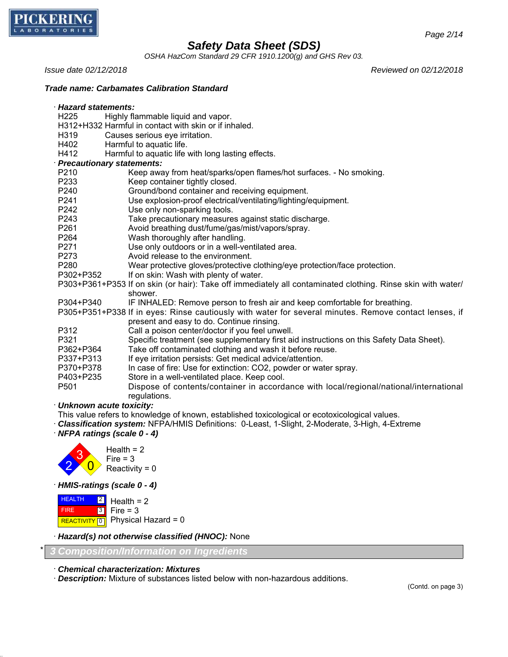

*OSHA HazCom Standard 29 CFR 1910.1200(g) and GHS Rev 03.*

*Issue date 02/12/2018 Reviewed on 02/12/2018*

· *Hazard statements:*

*Trade name: Carbamates Calibration Standard*

| H <sub>225</sub><br>Highly flammable liquid and vapor.                                                                                             |  |
|----------------------------------------------------------------------------------------------------------------------------------------------------|--|
| H312+H332 Harmful in contact with skin or if inhaled.                                                                                              |  |
| Causes serious eye irritation.<br>H319                                                                                                             |  |
| H402<br>Harmful to aquatic life.                                                                                                                   |  |
| H412<br>Harmful to aquatic life with long lasting effects.                                                                                         |  |
| <b>Precautionary statements:</b>                                                                                                                   |  |
| P210<br>Keep away from heat/sparks/open flames/hot surfaces. - No smoking.                                                                         |  |
| P233<br>Keep container tightly closed.                                                                                                             |  |
| P240<br>Ground/bond container and receiving equipment.                                                                                             |  |
| P241<br>Use explosion-proof electrical/ventilating/lighting/equipment.                                                                             |  |
| P242<br>Use only non-sparking tools.                                                                                                               |  |
| P243<br>Take precautionary measures against static discharge.                                                                                      |  |
| P261<br>Avoid breathing dust/fume/gas/mist/vapors/spray.                                                                                           |  |
| P264<br>Wash thoroughly after handling.                                                                                                            |  |
| P271<br>Use only outdoors or in a well-ventilated area.                                                                                            |  |
| P273<br>Avoid release to the environment.                                                                                                          |  |
| P280<br>Wear protective gloves/protective clothing/eye protection/face protection.                                                                 |  |
| P302+P352<br>If on skin: Wash with plenty of water.                                                                                                |  |
| P303+P361+P353 If on skin (or hair): Take off immediately all contaminated clothing. Rinse skin with water/<br>shower.                             |  |
| IF INHALED: Remove person to fresh air and keep comfortable for breathing.<br>P304+P340                                                            |  |
| P305+P351+P338 If in eyes: Rinse cautiously with water for several minutes. Remove contact lenses, if<br>present and easy to do. Continue rinsing. |  |
| Call a poison center/doctor if you feel unwell.<br>P312                                                                                            |  |
| P321<br>Specific treatment (see supplementary first aid instructions on this Safety Data Sheet).                                                   |  |
| P362+P364<br>Take off contaminated clothing and wash it before reuse.                                                                              |  |
| If eye irritation persists: Get medical advice/attention.<br>P337+P313                                                                             |  |
| P370+P378<br>In case of fire: Use for extinction: CO2, powder or water spray.                                                                      |  |
| Store in a well-ventilated place. Keep cool.<br>P403+P235                                                                                          |  |
| Dispose of contents/container in accordance with local/regional/national/international<br>P <sub>501</sub><br>regulations.                         |  |
| $11.1 - 1.1$<br>المستقط والمستقل والمستند                                                                                                          |  |

· *Unknown acute toxicity:*

This value refers to knowledge of known, established toxicological or ecotoxicological values.

· *Classification system:* NFPA/HMIS Definitions: 0-Least, 1-Slight, 2-Moderate, 3-High, 4-Extreme

· *NFPA ratings (scale 0 - 4)*



· *HMIS-ratings (scale 0 - 4)*

**HEALTH**  FIRE REACTIVITY  $\boxed{0}$  Physical Hazard = 0  $|2|$ 3 Health  $= 2$ Fire  $= 3$ 

· *Hazard(s) not otherwise classified (HNOC):* None

\* *3 Composition/Information on Ingredients*

· *Chemical characterization: Mixtures*

· *Description:* Mixture of substances listed below with non-hazardous additions.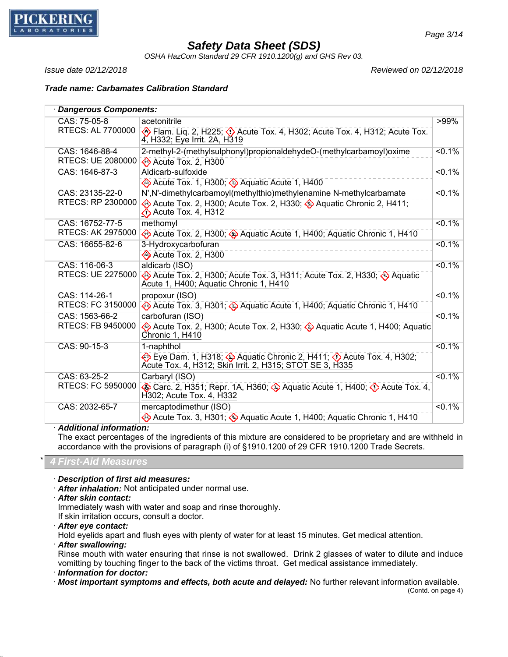

*OSHA HazCom Standard 29 CFR 1910.1200(g) and GHS Rev 03.*

*Issue date 02/12/2018 Reviewed on 02/12/2018*

*Trade name: Carbamates Calibration Standard*

|                                   | Dangerous Components:                                                                                                        |           |  |
|-----------------------------------|------------------------------------------------------------------------------------------------------------------------------|-----------|--|
| CAS: 75-05-8<br>RTECS: AL 7700000 | acetonitrile                                                                                                                 | >99%      |  |
|                                   | Flam. Lig. 2, H225; (1) Acute Tox. 4, H302; Acute Tox. 4, H312; Acute Tox.<br>4, H332; Eye Irrit. 2A, H319                   |           |  |
| CAS: 1646-88-4                    | 2-methyl-2-(methylsulphonyl)propionaldehydeO-(methylcarbamoyl)oxime                                                          | 50.1%     |  |
| RTECS: UE 2080000                 | Acute Tox. 2, H300                                                                                                           |           |  |
| CAS: 1646-87-3                    | Aldicarb-sulfoxide                                                                                                           | 50.1%     |  |
|                                   | Acute Tox. 1, H300; Aquatic Acute 1, H400                                                                                    |           |  |
| CAS: 23135-22-0                   | N', N'-dimethylcarbamoyl(methylthio)methylenamine N-methylcarbamate                                                          | $< 0.1\%$ |  |
| RTECS: RP 2300000                 | Acute Tox. 2, H300; Acute Tox. 2, H330; Aquatic Chronic 2, H411;<br>$\bigcirc$ Acute Tox. 4, H312                            |           |  |
| CAS: 16752-77-5                   | methomyl                                                                                                                     | 50.1%     |  |
| <b>RTECS: AK 2975000</b>          | Acute Tox. 2, H300; Aquatic Acute 1, H400; Aquatic Chronic 1, H410                                                           |           |  |
| CAS: 16655-82-6                   | 3-Hydroxycarbofuran                                                                                                          | 50.1%     |  |
|                                   | Acute Tox. 2, H300                                                                                                           |           |  |
| CAS: 116-06-3                     | aldicarb (ISO)                                                                                                               | 50.1%     |  |
| RTECS: UE 2275000                 | Acute Tox. 2, H300; Acute Tox. 3, H311; Acute Tox. 2, H330; 4 Aquatic<br>Acute 1, H400; Aquatic Chronic 1, H410              |           |  |
| CAS: 114-26-1                     | propoxur (ISO)                                                                                                               | 50.1%     |  |
| RTECS: FC 3150000                 | Acute Tox. 3, H301; Aquatic Acute 1, H400; Aquatic Chronic 1, H410                                                           |           |  |
| CAS: 1563-66-2                    | carbofuran (ISO)                                                                                                             | 50.1%     |  |
| RTECS: FB 9450000                 | Acute Tox. 2, H300; Acute Tox. 2, H330; Aquatic Acute 1, H400; Aquatic<br>Chronic 1, H410                                    |           |  |
| CAS: 90-15-3                      | 1-naphthol                                                                                                                   | 50.1%     |  |
|                                   | Eye Dam. 1, H318; Aquatic Chronic 2, H411; O Acute Tox. 4, H302;<br>Acute Tox. 4, H312; Skin Irrit. 2, H315; STOT SE 3, H335 |           |  |
| CAS: 63-25-2                      | Carbaryl (ISO)                                                                                                               | 50.1%     |  |
| RTECS: FC 5950000                 | Carc. 2, H351; Repr. 1A, H360; $\bigcirc$ Aquatic Acute 1, H400; $\bigcirc$ Acute Tox. 4,<br>H302; Acute Tox. 4, H332        |           |  |
| CAS: 2032-65-7                    | mercaptodimethur (ISO)                                                                                                       | $< 0.1\%$ |  |
|                                   | Acute Tox. 3, H301; $\leftrightarrow$ Aquatic Acute 1, H400; Aquatic Chronic 1, H410                                         |           |  |

#### · *Additional information:*

The exact percentages of the ingredients of this mixture are considered to be proprietary and are withheld in accordance with the provisions of paragraph (i) of §1910.1200 of 29 CFR 1910.1200 Trade Secrets.

\* *4 First-Aid Measures*

· *Description of first aid measures:*

· *After inhalation:* Not anticipated under normal use.

· *After skin contact:*

Immediately wash with water and soap and rinse thoroughly.

If skin irritation occurs, consult a doctor.

· *After eye contact:*

Hold eyelids apart and flush eyes with plenty of water for at least 15 minutes. Get medical attention.

· *After swallowing:*

Rinse mouth with water ensuring that rinse is not swallowed. Drink 2 glasses of water to dilute and induce vomitting by touching finger to the back of the victims throat. Get medical assistance immediately.

· *Information for doctor:*

· *Most important symptoms and effects, both acute and delayed:* No further relevant information available.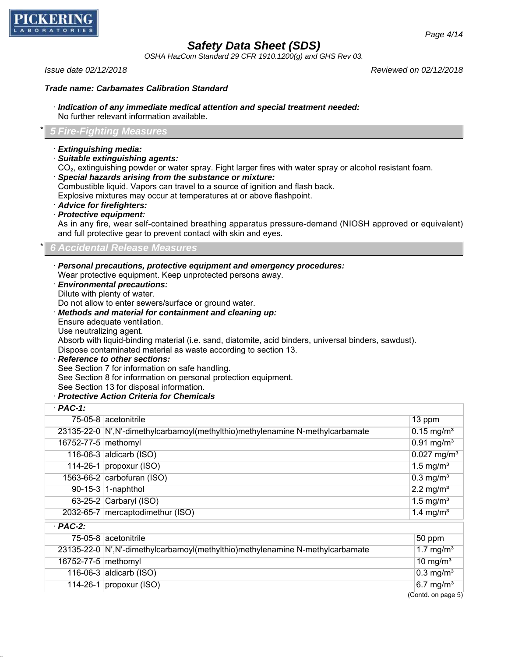

*OSHA HazCom Standard 29 CFR 1910.1200(g) and GHS Rev 03.*

*Issue date 02/12/2018 Reviewed on 02/12/2018*

#### *Trade name: Carbamates Calibration Standard*

· *Indication of any immediate medical attention and special treatment needed:*

No further relevant information available.

### \* *5 Fire-Fighting Measures*

- · *Extinguishing media:*
- · *Suitable extinguishing agents:*

CO<sub>2</sub>, extinguishing powder or water spray. Fight larger fires with water spray or alcohol resistant foam.

· *Special hazards arising from the substance or mixture:*

Combustible liquid. Vapors can travel to a source of ignition and flash back.

Explosive mixtures may occur at temperatures at or above flashpoint.

- · *Advice for firefighters:*
- · *Protective equipment:*

As in any fire, wear self-contained breathing apparatus pressure-demand (NIOSH approved or equivalent) and full protective gear to prevent contact with skin and eyes.

### \* *6 Accidental Release Measures*

· *Personal precautions, protective equipment and emergency procedures:*

Wear protective equipment. Keep unprotected persons away.

- · *Environmental precautions:*
- Dilute with plenty of water.

Do not allow to enter sewers/surface or ground water.

- · *Methods and material for containment and cleaning up:*
- Ensure adequate ventilation.
- Use neutralizing agent.

Absorb with liquid-binding material (i.e. sand, diatomite, acid binders, universal binders, sawdust). Dispose contaminated material as waste according to section 13.

· *Reference to other sections:*

See Section 7 for information on safe handling.

See Section 8 for information on personal protection equipment.

See Section 13 for disposal information.

#### · *Protective Action Criteria for Chemicals*

| $·$ PAC-1:            |                                                                                  |                           |
|-----------------------|----------------------------------------------------------------------------------|---------------------------|
|                       | 75-05-8 acetonitrile                                                             | 13 ppm                    |
|                       | 23135-22-0   N', N'-dimethylcarbamoyl(methylthio)methylenamine N-methylcarbamate | $0.15$ mg/m <sup>3</sup>  |
| 16752-77-5 methomyl   |                                                                                  | $0.91$ mg/m <sup>3</sup>  |
|                       | 116-06-3 aldicarb $(ISO)$                                                        | $0.027$ mg/m <sup>3</sup> |
|                       | 114-26-1   propoxur (ISO)                                                        | $1.5$ mg/m <sup>3</sup>   |
|                       | 1563-66-2 carbofuran (ISO)                                                       | $0.3$ mg/m <sup>3</sup>   |
|                       | 90-15-3 1-naphthol                                                               | $2.2 \text{ mg/m}^3$      |
|                       | 63-25-2 Carbaryl (ISO)                                                           | 1.5 mg/ $m3$              |
|                       | 2032-65-7 mercaptodimethur (ISO)                                                 | 1.4 mg/ $m3$              |
| $·$ PAC-2:            |                                                                                  |                           |
|                       | 75-05-8 acetonitrile                                                             | 50 ppm                    |
|                       | 23135-22-0 N', N'-dimethylcarbamoyl(methylthio)methylenamine N-methylcarbamate   | 1.7 mg/ $m3$              |
| 16752-77-5   methomyl |                                                                                  | 10 mg/m <sup>3</sup>      |
|                       | 116-06-3 aldicarb $(ISO)$                                                        | $0.3$ mg/m <sup>3</sup>   |
|                       | 114-26-1   propoxur (ISO)                                                        | $6.7$ mg/m <sup>3</sup>   |
|                       |                                                                                  | (Contd. on page 5)        |

*Page 4/14*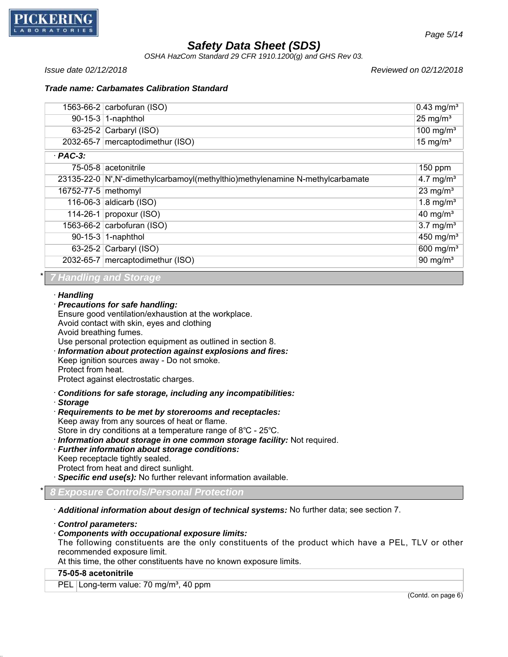

*OSHA HazCom Standard 29 CFR 1910.1200(g) and GHS Rev 03.*

*Issue date 02/12/2018 Reviewed on 02/12/2018*

#### *Trade name: Carbamates Calibration Standard*

|                     | 1563-66-2 carbofuran (ISO)                                                     | $0.43$ mg/m <sup>3</sup> |
|---------------------|--------------------------------------------------------------------------------|--------------------------|
|                     | $90-15-3$ 1-naphthol                                                           | $25 \text{ mg/m}^3$      |
|                     | 63-25-2 Carbaryl (ISO)                                                         | 100 mg/m <sup>3</sup>    |
|                     | 2032-65-7 mercaptodimethur (ISO)                                               | 15 mg/ $m3$              |
| $PAC-3$ :           |                                                                                |                          |
|                     | 75-05-8 $ $ acetonitrile                                                       | 150 ppm                  |
|                     | 23135-22-0 N', N'-dimethylcarbamoyl(methylthio)methylenamine N-methylcarbamate | 4.7 mg/ $m3$             |
| 16752-77-5 methomyl |                                                                                | 23 mg/ $m3$              |
|                     | 116-06-3 aldicarb $(ISO)$                                                      | 1.8 mg/ $m3$             |
|                     | 114-26-1   propoxur (ISO)                                                      | 40 mg/ $m3$              |
|                     | 1563-66-2 carbofuran $(ISO)$                                                   | $3.7$ mg/m <sup>3</sup>  |
|                     | $90-15-3$ 1-naphthol                                                           | 450 mg/ $m3$             |
|                     | 63-25-2 Carbaryl (ISO)                                                         | 600 mg/ $m3$             |
|                     | 2032-65-7 mercaptodimethur (ISO)                                               | 90 mg/ $m3$              |

### \* *7 Handling and Storage*

#### · *Handling*

- · *Precautions for safe handling:* Ensure good ventilation/exhaustion at the workplace.
- Avoid contact with skin, eyes and clothing Avoid breathing fumes. Use personal protection equipment as outlined in section 8. · *Information about protection against explosions and fires:*
- Keep ignition sources away Do not smoke. Protect from heat. Protect against electrostatic charges.
- · *Conditions for safe storage, including any incompatibilities:*
- · *Storage*
- · *Requirements to be met by storerooms and receptacles:* Keep away from any sources of heat or flame.
- Store in dry conditions at a temperature range of 8℃ 25℃.
- · *Information about storage in one common storage facility:* Not required.
- · *Further information about storage conditions:* Keep receptacle tightly sealed. Protect from heat and direct sunlight.
- · *Specific end use(s):* No further relevant information available.

#### \* *8 Exposure Controls/Personal Protection*

· *Additional information about design of technical systems:* No further data; see section 7.

#### · *Control parameters:*

### · *Components with occupational exposure limits:*

The following constituents are the only constituents of the product which have a PEL, TLV or other recommended exposure limit.

At this time, the other constituents have no known exposure limits.

### **75-05-8 acetonitrile**

PEL Long-term value: 70 mg/m<sup>3</sup>, 40 ppm

(Contd. on page 6)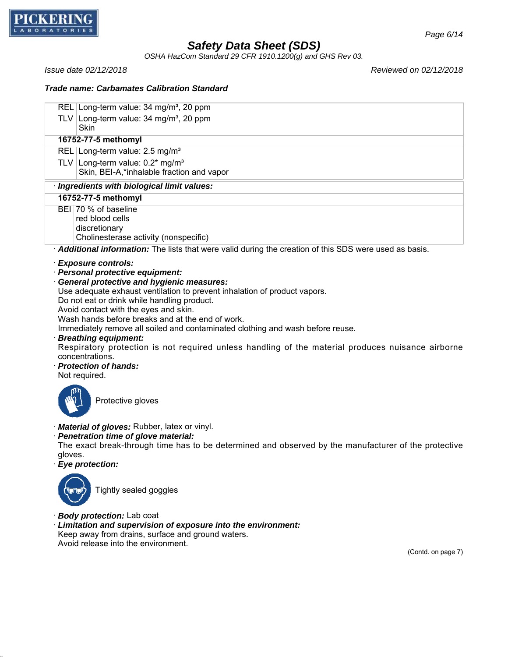

*OSHA HazCom Standard 29 CFR 1910.1200(g) and GHS Rev 03.*

*Issue date 02/12/2018 Reviewed on 02/12/2018*

#### *Trade name: Carbamates Calibration Standard*

| REL Long-term value: 34 mg/m <sup>3</sup> , 20 ppm |  |  |  |
|----------------------------------------------------|--|--|--|
|                                                    |  |  |  |

TLV Long-term value:  $34 \text{ mg/m}^3$ , 20 ppm **Skin** 

### **16752-77-5 methomyl**

- REL Long-term value: 2.5 mg/m<sup>3</sup>
- TLV Long-term value:  $0.2^*$  mg/m<sup>3</sup> Skin, BEI-A,\*inhalable fraction and vapor

### · *Ingredients with biological limit values:*

### **16752-77-5 methomyl**

BEI 70 % of baseline red blood cells discretionary Cholinesterase activity (nonspecific)

· *Additional information:* The lists that were valid during the creation of this SDS were used as basis.

- · *Exposure controls:*
- · *Personal protective equipment:*
- · *General protective and hygienic measures:*

Use adequate exhaust ventilation to prevent inhalation of product vapors.

Do not eat or drink while handling product.

Avoid contact with the eyes and skin.

Wash hands before breaks and at the end of work.

Immediately remove all soiled and contaminated clothing and wash before reuse.

· *Breathing equipment:*

Respiratory protection is not required unless handling of the material produces nuisance airborne concentrations.

· *Protection of hands:*

Not required.



Protective gloves

- · *Material of gloves:* Rubber, latex or vinyl.
- · *Penetration time of glove material:*

The exact break-through time has to be determined and observed by the manufacturer of the protective gloves.

· *Eye protection:*



Tightly sealed goggles

- · *Body protection:* Lab coat
- · *Limitation and supervision of exposure into the environment:* Keep away from drains, surface and ground waters. Avoid release into the environment.

(Contd. on page 7)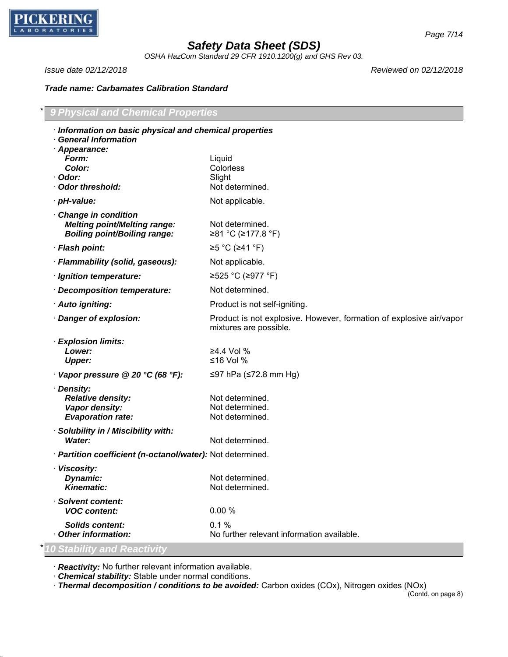

*OSHA HazCom Standard 29 CFR 1910.1200(g) and GHS Rev 03.*

*Issue date 02/12/2018 Reviewed on 02/12/2018*

#### *Trade name: Carbamates Calibration Standard*

\* *9 Physical and Chemical Properties* · *Information on basic physical and chemical properties* · *General Information* · *Appearance: Form:* Liquid *Color:* Colorless · *Odor:* Slight · **Odor threshold:** Not determined. *bH-value:* Not applicable. · *Change in condition Melting point/Melting range:* Not determined. *Boiling point/Boiling range:* ≥81 °C (≥177.8 °F) · *Flash point:* ≥5 °C (≥41 °F) · *Flammability (solid, gaseous):* Not applicable. · *Ignition temperature:* ≥525 °C (≥977 °F) · *Decomposition temperature:* Not determined. · **Auto igniting:** The **Product is not self-igniting.** · *Danger of explosion:* Product is not explosive. However, formation of explosive air/vapor mixtures are possible. · *Explosion limits:* **Lower: 24.4 Vol %**<br> **Upper:** 216 Vol % *Upper:* ≤16 Vol % · *Vapor pressure @ 20 °C (68 °F):* ≤97 hPa (≤72.8 mm Hg) · *Density: Relative density:* Not determined. **Vapor density:** Not determined. **Evaporation rate:** Not determined. · *Solubility in / Miscibility with:* **Water:** Not determined. · *Partition coefficient (n-octanol/water):* Not determined. · *Viscosity:* **Dynamic:** Not determined. **Kinematic:** Not determined. · *Solvent content: VOC content:* 0.00 % *Solids content:* 0.1 % **Other information:** No further relevant information available. *litv and Reactivi* 

· *Reactivity:* No further relevant information available.

· *Chemical stability:* Stable under normal conditions.

· *Thermal decomposition / conditions to be avoided:* Carbon oxides (COx), Nitrogen oxides (NOx)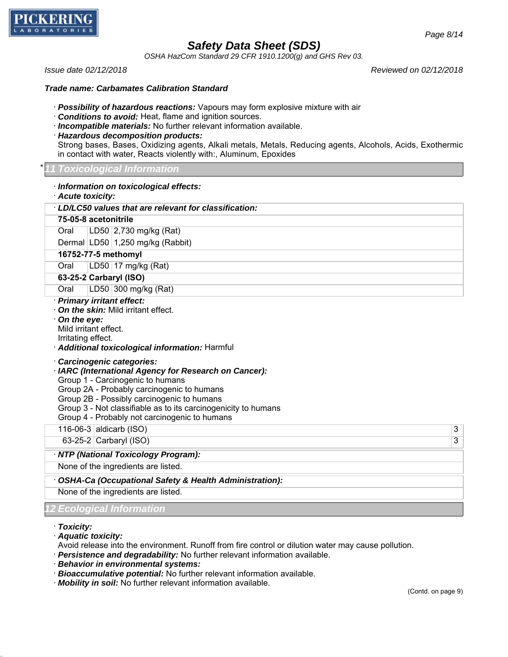

*OSHA HazCom Standard 29 CFR 1910.1200(g) and GHS Rev 03.*

*Issue date 02/12/2018 Reviewed on 02/12/2018*

#### *Trade name: Carbamates Calibration Standard*

- · *Possibility of hazardous reactions:* Vapours may form explosive mixture with air
- · *Conditions to avoid:* Heat, flame and ignition sources.
- · *Incompatible materials:* No further relevant information available.
- · *Hazardous decomposition products:*

Strong bases, Bases, Oxidizing agents, Alkali metals, Metals, Reducing agents, Alcohols, Acids, Exothermic in contact with water, Reacts violently with:, Aluminum, Epoxides

#### \* *11 Toxicological Information*

- · *Information on toxicological effects:*
- · *Acute toxicity:*

| LD/LC50 values that are relevant for classification: |
|------------------------------------------------------|
| 75-05-8 acetonitrile                                 |
| LD50 2,730 mg/kg (Rat)<br>Oral                       |
| Dermal   LD50   1,250 mg/kg (Rabbit)                 |
| 16752-77-5 methomyl                                  |
| LD50 17 mg/kg (Rat)<br>Oral                          |
| 63-25-2 Carbaryl (ISO)                               |
| LD50 300 mg/kg (Rat)<br>Oral                         |

- · *Primary irritant effect:*
- · *On the skin:* Mild irritant effect.
- · *On the eye:* Mild irritant effect.
- Irritating effect.
- · *Additional toxicological information:* Harmful

#### · *Carcinogenic categories:*

- · *IARC (International Agency for Research on Cancer):*
- Group 1 Carcinogenic to humans
- Group 2A Probably carcinogenic to humans
- Group 2B Possibly carcinogenic to humans
- Group 3 Not classifiable as to its carcinogenicity to humans
- Group 4 Probably not carcinogenic to humans

116-06-3 aldicarb (ISO) 3

63-25-2 Carbaryl (ISO) 3

#### · *NTP (National Toxicology Program):*

None of the ingredients are listed.

· *OSHA-Ca (Occupational Safety & Health Administration):*

None of the ingredients are listed.

#### *12 Ecological Information*

- · *Toxicity:*
- · *Aquatic toxicity:*
- Avoid release into the environment. Runoff from fire control or dilution water may cause pollution.
- · *Persistence and degradability:* No further relevant information available.
- · *Behavior in environmental systems:*
- · *Bioaccumulative potential:* No further relevant information available.
- · *Mobility in soil:* No further relevant information available.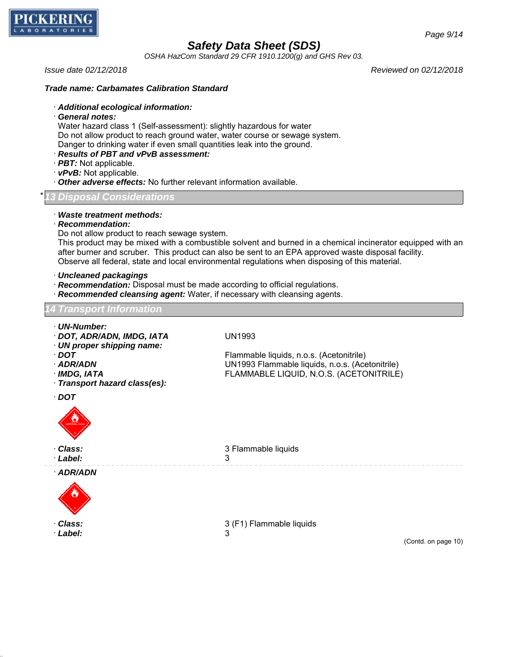

*OSHA HazCom Standard 29 CFR 1910.1200(g) and GHS Rev 03.*

*Issue date 02/12/2018 Reviewed on 02/12/2018*

### *Trade name: Carbamates Calibration Standard*

- · *Additional ecological information:*
- · *General notes:*

Water hazard class 1 (Self-assessment): slightly hazardous for water Do not allow product to reach ground water, water course or sewage system. Danger to drinking water if even small quantities leak into the ground.

- · *Results of PBT and vPvB assessment:*
- · *PBT:* Not applicable.
- · *vPvB:* Not applicable.
- · *Other adverse effects:* No further relevant information available.

### \* *13 Disposal Considerations*

- · *Waste treatment methods:*
- · *Recommendation:*

Do not allow product to reach sewage system.

This product may be mixed with a combustible solvent and burned in a chemical incinerator equipped with an after burner and scruber. This product can also be sent to an EPA approved waste disposal facility. Observe all federal, state and local environmental regulations when disposing of this material.

· *Uncleaned packagings*

- · *Recommendation:* Disposal must be made according to official regulations.
- · *Recommended cleansing agent:* Water, if necessary with cleansing agents.

#### *14 Transport Information*

· *UN-Number:* · *DOT, ADR/ADN, IMDG, IATA* UN1993 · *UN proper shipping name:* · *DOT* Flammable liquids, n.o.s. (Acetonitrile) · *ADR/ADN* UN1993 Flammable liquids, n.o.s. (Acetonitrile) · *IMDG, IATA* FLAMMABLE LIQUID, N.O.S. (ACETONITRILE) · *Transport hazard class(es):* · *DOT* · *Class:* 3 Flammable liquids · *Label:* 3 · *ADR/ADN* · *Class:* 3 (F1) Flammable liquids · *Label:* 3 (Contd. on page 10)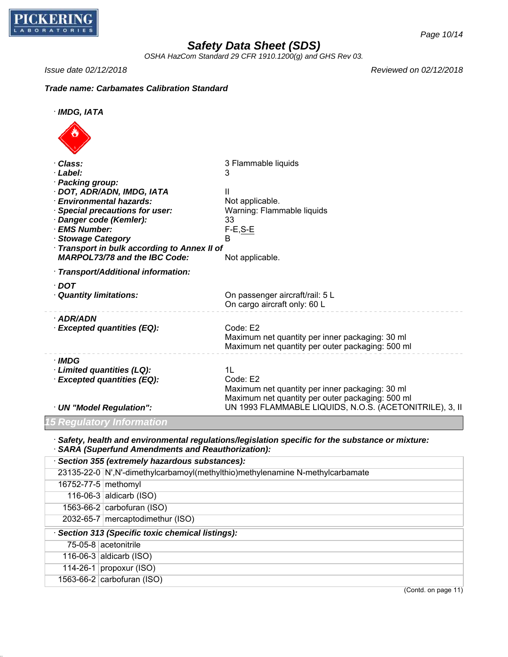

*OSHA HazCom Standard 29 CFR 1910.1200(g) and GHS Rev 03.*

*Issue date 02/12/2018 Reviewed on 02/12/2018*

#### *Trade name: Carbamates Calibration Standard*

### · *IMDG, IATA* · *Class:* 3 Flammable liquids · *Label:* 3 · *Packing group:* · *DOT, ADR/ADN, IMDG, IATA* II · *Environmental hazards:* Not applicable. · *Special precautions for user:* Warning: Flammable liquids · *Danger code (Kemler):* 33 · *EMS Number:* F-E,S-E **· Stowage Category** B · *Transport in bulk according to Annex II of* MARPOL73/78 and the IBC Code: Not applicable. · *Transport/Additional information:* · *DOT* · *Quantity limitations:* On passenger aircraft/rail: 5 L On cargo aircraft only: 60 L · *ADR/ADN* · *Excepted quantities (EQ):* Code: E2 Maximum net quantity per inner packaging: 30 ml Maximum net quantity per outer packaging: 500 ml · *IMDG* · *Limited quantities (LQ):* 1L · *Excepted quantities (EQ):* Maximum net quantity per inner packaging: 30 ml Maximum net quantity per outer packaging: 500 ml · *UN "Model Regulation":* UN 1993 FLAMMABLE LIQUIDS, N.O.S. (ACETONITRILE), 3, II *15 Regulatory Information* · *Safety, health and environmental regulations/legislation specific for the substance or mixture:* · *SARA (Superfund Amendments and Reauthorization):*

|                                                   | Section 355 (extremely hazardous substances):                                  |
|---------------------------------------------------|--------------------------------------------------------------------------------|
|                                                   | 23135-22-0 N', N'-dimethylcarbamoyl(methylthio)methylenamine N-methylcarbamate |
|                                                   | 16752-77-5 methomyl                                                            |
|                                                   | 116-06-3 aldicarb (ISO)                                                        |
|                                                   | 1563-66-2 $ $ carbofuran (ISO)                                                 |
|                                                   | 2032-65-7 mercaptodimethur (ISO)                                               |
| · Section 313 (Specific toxic chemical listings): |                                                                                |
|                                                   | 75-05-8 acetonitrile                                                           |
|                                                   | 116-06-3 aldicarb (ISO)                                                        |
|                                                   | 114-26-1   propoxur (ISO)                                                      |
|                                                   | 1563-66-2 carbofuran $(ISO)$                                                   |
|                                                   |                                                                                |

(Contd. on page 11)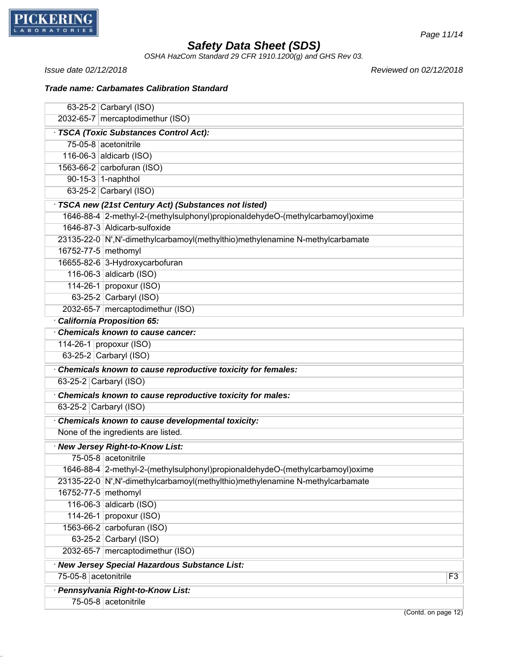

*OSHA HazCom Standard 29 CFR 1910.1200(g) and GHS Rev 03.*

*Trade name: Carbamates Calibration Standard*

*Issue date 02/12/2018 Reviewed on 02/12/2018*

|                      | 63-25-2 Carbaryl (ISO)                                                          |                |
|----------------------|---------------------------------------------------------------------------------|----------------|
|                      | 2032-65-7 mercaptodimethur (ISO)                                                |                |
|                      | · TSCA (Toxic Substances Control Act):                                          |                |
|                      | 75-05-8 acetonitrile                                                            |                |
|                      | 116-06-3 aldicarb (ISO)                                                         |                |
|                      | 1563-66-2 carbofuran (ISO)                                                      |                |
|                      | 90-15-3 1-naphthol                                                              |                |
|                      | 63-25-2 Carbaryl (ISO)                                                          |                |
|                      | TSCA new (21st Century Act) (Substances not listed)                             |                |
|                      | 1646-88-4 2-methyl-2-(methylsulphonyl)propionaldehydeO-(methylcarbamoyl)oxime   |                |
|                      | 1646-87-3 Aldicarb-sulfoxide                                                    |                |
|                      | 23135-22-0 N', N'-dimethylcarbamoyl(methylthio) methylenamine N-methylcarbamate |                |
|                      | 16752-77-5 methomyl                                                             |                |
|                      | 16655-82-6 3-Hydroxycarbofuran                                                  |                |
|                      | 116-06-3 aldicarb (ISO)                                                         |                |
|                      | 114-26-1 propoxur (ISO)                                                         |                |
|                      | 63-25-2 Carbaryl (ISO)                                                          |                |
|                      | 2032-65-7 mercaptodimethur (ISO)                                                |                |
|                      | <b>California Proposition 65:</b>                                               |                |
|                      | <b>Chemicals known to cause cancer:</b>                                         |                |
|                      | 114-26-1 propoxur (ISO)                                                         |                |
|                      | 63-25-2 Carbaryl (ISO)                                                          |                |
|                      | Chemicals known to cause reproductive toxicity for females:                     |                |
|                      | 63-25-2 Carbaryl (ISO)                                                          |                |
|                      | Chemicals known to cause reproductive toxicity for males:                       |                |
|                      | 63-25-2 Carbaryl (ISO)                                                          |                |
|                      | Chemicals known to cause developmental toxicity:                                |                |
|                      | None of the ingredients are listed.                                             |                |
|                      | · New Jersey Right-to-Know List:                                                |                |
|                      | 75-05-8 acetonitrile                                                            |                |
|                      | 1646-88-4 2-methyl-2-(methylsulphonyl)propionaldehydeO-(methylcarbamoyl)oxime   |                |
|                      | 23135-22-0 N', N'-dimethylcarbamoyl(methylthio) methylenamine N-methylcarbamate |                |
|                      | 16752-77-5 methomyl                                                             |                |
|                      | 116-06-3 aldicarb (ISO)                                                         |                |
|                      | 114-26-1 propoxur (ISO)                                                         |                |
|                      | 1563-66-2 carbofuran (ISO)                                                      |                |
|                      | 63-25-2 Carbaryl (ISO)                                                          |                |
|                      | 2032-65-7 mercaptodimethur (ISO)                                                |                |
|                      | · New Jersey Special Hazardous Substance List:                                  |                |
| 75-05-8 acetonitrile |                                                                                 | F <sub>3</sub> |
|                      | · Pennsylvania Right-to-Know List:                                              |                |
|                      | 75-05-8 acetonitrile                                                            |                |
|                      |                                                                                 |                |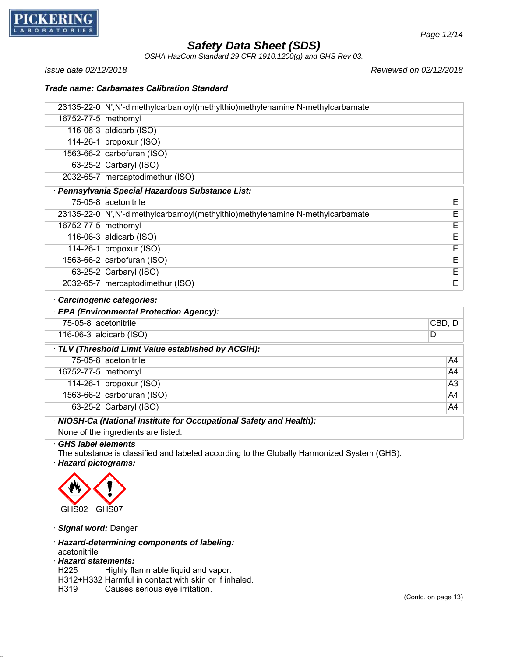

*OSHA HazCom Standard 29 CFR 1910.1200(g) and GHS Rev 03.*

*Page 12/14*

*Issue date 02/12/2018 Reviewed on 02/12/2018*

### *Trade name: Carbamates Calibration Standard*

|                                               | 23135-22-0 N', N'-dimethylcarbamoyl(methylthio) methylenamine N-methylcarbamate |    |  |
|-----------------------------------------------|---------------------------------------------------------------------------------|----|--|
| 16752-77-5 methomyl                           |                                                                                 |    |  |
|                                               | 116-06-3 aldicarb (ISO)                                                         |    |  |
|                                               | 114-26-1 propoxur (ISO)                                                         |    |  |
|                                               | 1563-66-2 carbofuran (ISO)                                                      |    |  |
|                                               | 63-25-2 Carbaryl (ISO)                                                          |    |  |
|                                               | 2032-65-7 mercaptodimethur (ISO)                                                |    |  |
|                                               | · Pennsylvania Special Hazardous Substance List:                                |    |  |
|                                               | 75-05-8 acetonitrile                                                            | E. |  |
|                                               | 23135-22-0 N', N'-dimethylcarbamoyl(methylthio) methylenamine N-methylcarbamate | Е  |  |
| 16752-77-5 methomyl                           |                                                                                 | E  |  |
|                                               | 116-06-3 aldicarb (ISO)                                                         | E  |  |
|                                               | 114-26-1   propoxur (ISO)                                                       | E  |  |
|                                               | 1563-66-2 carbofuran (ISO)                                                      | E  |  |
|                                               | 63-25-2 Carbaryl (ISO)                                                          | E  |  |
|                                               | 2032-65-7 mercaptodimethur (ISO)                                                | E  |  |
| Carcinogenic categories:                      |                                                                                 |    |  |
| <b>EPA (Environmental Protection Agency):</b> |                                                                                 |    |  |
|                                               |                                                                                 |    |  |

|                                                                     | 75-05-8 acetonitrile                              | CBD, D |    |
|---------------------------------------------------------------------|---------------------------------------------------|--------|----|
|                                                                     | 116-06-3 aldicarb $(ISO)$                         | D      |    |
|                                                                     | TLV (Threshold Limit Value established by ACGIH): |        |    |
|                                                                     | 75-05-8 acetonitrile                              |        | A4 |
|                                                                     | 16752-77-5 methomyl                               |        | A4 |
|                                                                     | 114-26-1   propoxur (ISO)                         |        | A3 |
|                                                                     | 1563-66-2 carbofuran (ISO)                        |        | A4 |
|                                                                     | 63-25-2 $\vert$ Carbaryl (ISO)                    |        | A4 |
| · NIOSH-Ca (National Institute for Occupational Safety and Health): |                                                   |        |    |
|                                                                     | None of the ingredients are listed.               |        |    |

· *GHS label elements*

The substance is classified and labeled according to the Globally Harmonized System (GHS). · *Hazard pictograms:*



· *Signal word:* Danger

· *Hazard-determining components of labeling:* acetonitrile

# · *Hazard statements:*

Highly flammable liquid and vapor.

H312+H332 Harmful in contact with skin or if inhaled.

H319 Causes serious eye irritation.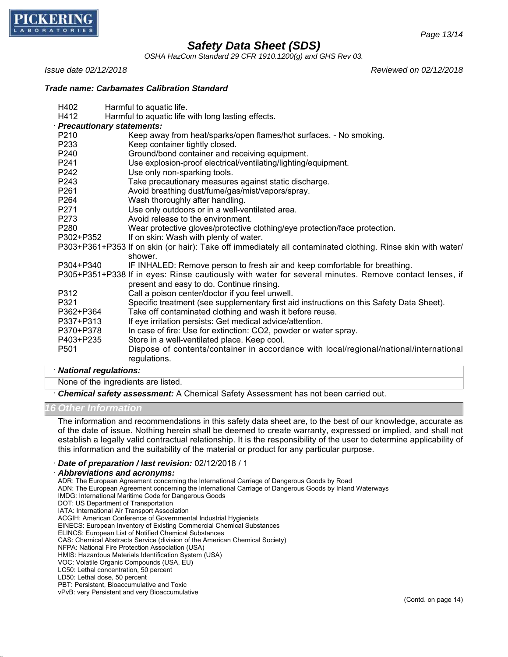

*OSHA HazCom Standard 29 CFR 1910.1200(g) and GHS Rev 03.*

*Issue date 02/12/2018 Reviewed on 02/12/2018*

#### *Trade name: Carbamates Calibration Standard*

| H402                                                                          | Harmful to aquatic life.                                                                                    |
|-------------------------------------------------------------------------------|-------------------------------------------------------------------------------------------------------------|
| H412                                                                          | Harmful to aquatic life with long lasting effects.                                                          |
| <b>Precautionary statements:</b>                                              |                                                                                                             |
| P210                                                                          | Keep away from heat/sparks/open flames/hot surfaces. - No smoking.                                          |
| P233                                                                          | Keep container tightly closed.                                                                              |
| P240                                                                          | Ground/bond container and receiving equipment.                                                              |
| P241                                                                          | Use explosion-proof electrical/ventilating/lighting/equipment.                                              |
| P242                                                                          | Use only non-sparking tools.                                                                                |
| P243                                                                          | Take precautionary measures against static discharge.                                                       |
| P261                                                                          | Avoid breathing dust/fume/gas/mist/vapors/spray.                                                            |
| P264                                                                          | Wash thoroughly after handling.                                                                             |
| P271                                                                          | Use only outdoors or in a well-ventilated area.                                                             |
| P273                                                                          | Avoid release to the environment.                                                                           |
| P <sub>280</sub>                                                              | Wear protective gloves/protective clothing/eye protection/face protection.                                  |
| P302+P352                                                                     | If on skin: Wash with plenty of water.                                                                      |
|                                                                               | P303+P361+P353 If on skin (or hair): Take off immediately all contaminated clothing. Rinse skin with water/ |
|                                                                               | shower.                                                                                                     |
| P304+P340                                                                     | IF INHALED: Remove person to fresh air and keep comfortable for breathing.                                  |
|                                                                               | P305+P351+P338 If in eyes: Rinse cautiously with water for several minutes. Remove contact lenses, if       |
|                                                                               | present and easy to do. Continue rinsing.                                                                   |
| P312                                                                          | Call a poison center/doctor if you feel unwell.                                                             |
| P321                                                                          | Specific treatment (see supplementary first aid instructions on this Safety Data Sheet).                    |
| P362+P364                                                                     | Take off contaminated clothing and wash it before reuse.                                                    |
| P337+P313                                                                     | If eye irritation persists: Get medical advice/attention.                                                   |
| P370+P378                                                                     | In case of fire: Use for extinction: CO2, powder or water spray.                                            |
| P403+P235                                                                     | Store in a well-ventilated place. Keep cool.                                                                |
| P <sub>501</sub>                                                              | Dispose of contents/container in accordance with local/regional/national/international                      |
|                                                                               | regulations.                                                                                                |
| $\mathbf{M} = \mathbf{M} - \mathbf{M} - \mathbf{M} - \mathbf{M} - \mathbf{M}$ |                                                                                                             |

#### · *National regulations:*

#### None of the ingredients are listed.

· *Chemical safety assessment:* A Chemical Safety Assessment has not been carried out.

#### *16 Other Information*

The information and recommendations in this safety data sheet are, to the best of our knowledge, accurate as of the date of issue. Nothing herein shall be deemed to create warranty, expressed or implied, and shall not establish a legally valid contractual relationship. It is the responsibility of the user to determine applicability of this information and the suitability of the material or product for any particular purpose.

· *Date of preparation / last revision:* 02/12/2018 / 1

#### · *Abbreviations and acronyms:*

ADR: The European Agreement concerning the International Carriage of Dangerous Goods by Road

ADN: The European Agreement concerning the International Carriage of Dangerous Goods by Inland Waterways

IMDG: International Maritime Code for Dangerous Goods

DOT: US Department of Transportation

IATA: International Air Transport Association

ACGIH: American Conference of Governmental Industrial Hygienists

EINECS: European Inventory of Existing Commercial Chemical Substances

ELINCS: European List of Notified Chemical Substances

CAS: Chemical Abstracts Service (division of the American Chemical Society)

NFPA: National Fire Protection Association (USA)

HMIS: Hazardous Materials Identification System (USA)

VOC: Volatile Organic Compounds (USA, EU)

LC50: Lethal concentration, 50 percent

PBT: Persistent, Bioaccumulative and Toxic

vPvB: very Persistent and very Bioaccumulative

LD50: Lethal dose, 50 percent